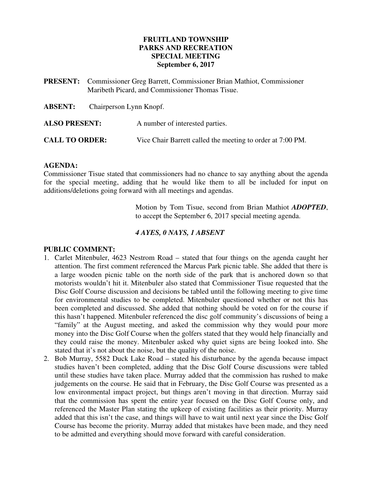#### **FRUITLAND TOWNSHIP PARKS AND RECREATION SPECIAL MEETING September 6, 2017**

- **PRESENT:** Commissioner Greg Barrett, Commissioner Brian Mathiot, Commissioner Maribeth Picard, and Commissioner Thomas Tisue.
- **ABSENT:** Chairperson Lynn Knopf.

**ALSO PRESENT:** A number of interested parties.

**CALL TO ORDER:** Vice Chair Barrett called the meeting to order at 7:00 PM.

#### **AGENDA:**

Commissioner Tisue stated that commissioners had no chance to say anything about the agenda for the special meeting, adding that he would like them to all be included for input on additions/deletions going forward with all meetings and agendas.

> Motion by Tom Tisue, second from Brian Mathiot *ADOPTED*, to accept the September 6, 2017 special meeting agenda.

## *4 AYES, 0 NAYS, 1 ABSENT*

#### **PUBLIC COMMENT:**

- 1. Carlet Mitenbuler, 4623 Nestrom Road stated that four things on the agenda caught her attention. The first comment referenced the Marcus Park picnic table. She added that there is a large wooden picnic table on the north side of the park that is anchored down so that motorists wouldn't hit it. Mitenbuler also stated that Commissioner Tisue requested that the Disc Golf Course discussion and decisions be tabled until the following meeting to give time for environmental studies to be completed. Mitenbuler questioned whether or not this has been completed and discussed. She added that nothing should be voted on for the course if this hasn't happened. Mitenbuler referenced the disc golf community's discussions of being a "family" at the August meeting, and asked the commission why they would pour more money into the Disc Golf Course when the golfers stated that they would help financially and they could raise the money. Mitenbuler asked why quiet signs are being looked into. She stated that it's not about the noise, but the quality of the noise.
- 2. Bob Murray, 5582 Duck Lake Road stated his disturbance by the agenda because impact studies haven't been completed, adding that the Disc Golf Course discussions were tabled until these studies have taken place. Murray added that the commission has rushed to make judgements on the course. He said that in February, the Disc Golf Course was presented as a low environmental impact project, but things aren't moving in that direction. Murray said that the commission has spent the entire year focused on the Disc Golf Course only, and referenced the Master Plan stating the upkeep of existing facilities as their priority. Murray added that this isn't the case, and things will have to wait until next year since the Disc Golf Course has become the priority. Murray added that mistakes have been made, and they need to be admitted and everything should move forward with careful consideration.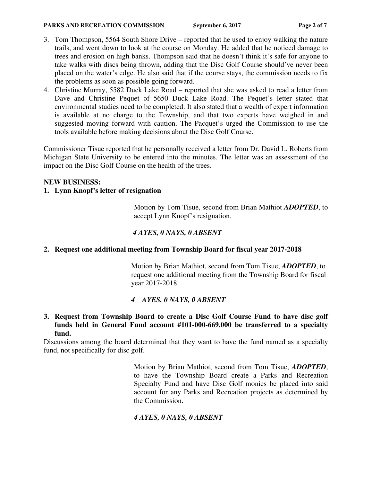#### **PARKS AND RECREATION COMMISSION** September 6, 2017 Page 2 of 7

- 3. Tom Thompson, 5564 South Shore Drive reported that he used to enjoy walking the nature trails, and went down to look at the course on Monday. He added that he noticed damage to trees and erosion on high banks. Thompson said that he doesn't think it's safe for anyone to take walks with discs being thrown, adding that the Disc Golf Course should've never been placed on the water's edge. He also said that if the course stays, the commission needs to fix the problems as soon as possible going forward.
- 4. Christine Murray, 5582 Duck Lake Road reported that she was asked to read a letter from Dave and Christine Pequet of 5650 Duck Lake Road. The Pequet's letter stated that environmental studies need to be completed. It also stated that a wealth of expert information is available at no charge to the Township, and that two experts have weighed in and suggested moving forward with caution. The Pacquet's urged the Commission to use the tools available before making decisions about the Disc Golf Course.

Commissioner Tisue reported that he personally received a letter from Dr. David L. Roberts from Michigan State University to be entered into the minutes. The letter was an assessment of the impact on the Disc Golf Course on the health of the trees.

#### **NEW BUSINESS:**

### **1. Lynn Knopf's letter of resignation**

Motion by Tom Tisue, second from Brian Mathiot *ADOPTED*, to accept Lynn Knopf's resignation.

## *4 AYES, 0 NAYS, 0 ABSENT*

## **2. Request one additional meeting from Township Board for fiscal year 2017-2018**

Motion by Brian Mathiot, second from Tom Tisue, *ADOPTED*, to request one additional meeting from the Township Board for fiscal year 2017-2018.

## *4 AYES, 0 NAYS, 0 ABSENT*

**3. Request from Township Board to create a Disc Golf Course Fund to have disc golf funds held in General Fund account #101-000-669.000 be transferred to a specialty fund.** 

Discussions among the board determined that they want to have the fund named as a specialty fund, not specifically for disc golf.

> Motion by Brian Mathiot, second from Tom Tisue, *ADOPTED*, to have the Township Board create a Parks and Recreation Specialty Fund and have Disc Golf monies be placed into said account for any Parks and Recreation projects as determined by the Commission.

## *4 AYES, 0 NAYS, 0 ABSENT*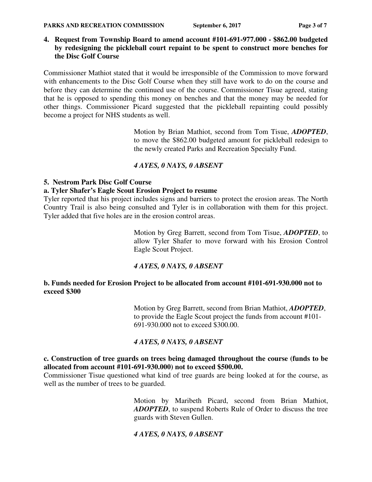**4. Request from Township Board to amend account #101-691-977.000 - \$862.00 budgeted by redesigning the pickleball court repaint to be spent to construct more benches for the Disc Golf Course** 

Commissioner Mathiot stated that it would be irresponsible of the Commission to move forward with enhancements to the Disc Golf Course when they still have work to do on the course and before they can determine the continued use of the course. Commissioner Tisue agreed, stating that he is opposed to spending this money on benches and that the money may be needed for other things. Commissioner Picard suggested that the pickleball repainting could possibly become a project for NHS students as well.

> Motion by Brian Mathiot, second from Tom Tisue, *ADOPTED*, to move the \$862.00 budgeted amount for pickleball redesign to the newly created Parks and Recreation Specialty Fund.

## *4 AYES, 0 NAYS, 0 ABSENT*

## **5. Nestrom Park Disc Golf Course**

## **a. Tyler Shafer's Eagle Scout Erosion Project to resume**

Tyler reported that his project includes signs and barriers to protect the erosion areas. The North Country Trail is also being consulted and Tyler is in collaboration with them for this project. Tyler added that five holes are in the erosion control areas.

> Motion by Greg Barrett, second from Tom Tisue, *ADOPTED*, to allow Tyler Shafer to move forward with his Erosion Control Eagle Scout Project.

## *4 AYES, 0 NAYS, 0 ABSENT*

## **b. Funds needed for Erosion Project to be allocated from account #101-691-930.000 not to exceed \$300**

Motion by Greg Barrett, second from Brian Mathiot, *ADOPTED*, to provide the Eagle Scout project the funds from account #101- 691-930.000 not to exceed \$300.00.

# *4 AYES, 0 NAYS, 0 ABSENT*

### **c. Construction of tree guards on trees being damaged throughout the course (funds to be allocated from account #101-691-930.000) not to exceed \$500.00.**

Commissioner Tisue questioned what kind of tree guards are being looked at for the course, as well as the number of trees to be guarded.

> Motion by Maribeth Picard, second from Brian Mathiot, *ADOPTED*, to suspend Roberts Rule of Order to discuss the tree guards with Steven Gullen.

# *4 AYES, 0 NAYS, 0 ABSENT*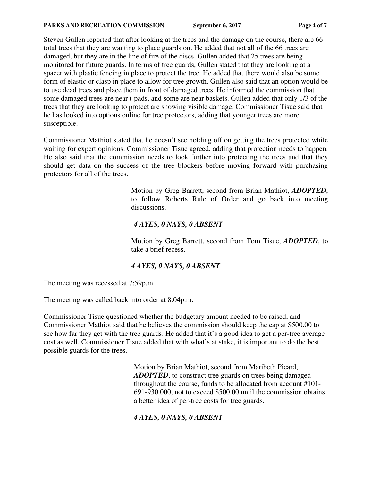Steven Gullen reported that after looking at the trees and the damage on the course, there are 66 total trees that they are wanting to place guards on. He added that not all of the 66 trees are damaged, but they are in the line of fire of the discs. Gullen added that 25 trees are being monitored for future guards. In terms of tree guards, Gullen stated that they are looking at a spacer with plastic fencing in place to protect the tree. He added that there would also be some form of elastic or clasp in place to allow for tree growth. Gullen also said that an option would be to use dead trees and place them in front of damaged trees. He informed the commission that some damaged trees are near t-pads, and some are near baskets. Gullen added that only 1/3 of the trees that they are looking to protect are showing visible damage. Commissioner Tisue said that he has looked into options online for tree protectors, adding that younger trees are more susceptible.

Commissioner Mathiot stated that he doesn't see holding off on getting the trees protected while waiting for expert opinions. Commissioner Tisue agreed, adding that protection needs to happen. He also said that the commission needs to look further into protecting the trees and that they should get data on the success of the tree blockers before moving forward with purchasing protectors for all of the trees.

> Motion by Greg Barrett, second from Brian Mathiot, *ADOPTED*, to follow Roberts Rule of Order and go back into meeting discussions.

## *4 AYES, 0 NAYS, 0 ABSENT*

Motion by Greg Barrett, second from Tom Tisue, *ADOPTED*, to take a brief recess.

# *4 AYES, 0 NAYS, 0 ABSENT*

The meeting was recessed at 7:59p.m.

The meeting was called back into order at 8:04p.m.

Commissioner Tisue questioned whether the budgetary amount needed to be raised, and Commissioner Mathiot said that he believes the commission should keep the cap at \$500.00 to see how far they get with the tree guards. He added that it's a good idea to get a per-tree average cost as well. Commissioner Tisue added that with what's at stake, it is important to do the best possible guards for the trees.

> Motion by Brian Mathiot, second from Maribeth Picard, *ADOPTED*, to construct tree guards on trees being damaged throughout the course, funds to be allocated from account #101- 691-930.000, not to exceed \$500.00 until the commission obtains a better idea of per-tree costs for tree guards.

# *4 AYES, 0 NAYS, 0 ABSENT*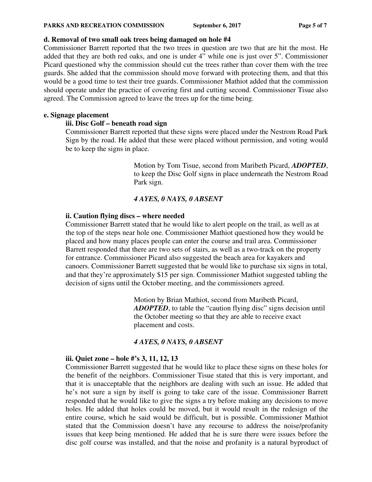#### **d. Removal of two small oak trees being damaged on hole #4**

Commissioner Barrett reported that the two trees in question are two that are hit the most. He added that they are both red oaks, and one is under 4" while one is just over 5". Commissioner Picard questioned why the commission should cut the trees rather than cover them with the tree guards. She added that the commission should move forward with protecting them, and that this would be a good time to test their tree guards. Commissioner Mathiot added that the commission should operate under the practice of covering first and cutting second. Commissioner Tisue also agreed. The Commission agreed to leave the trees up for the time being.

#### **e. Signage placement**

### **iii. Disc Golf – beneath road sign**

Commissioner Barrett reported that these signs were placed under the Nestrom Road Park Sign by the road. He added that these were placed without permission, and voting would be to keep the signs in place.

> Motion by Tom Tisue, second from Maribeth Picard, *ADOPTED*, to keep the Disc Golf signs in place underneath the Nestrom Road Park sign.

## *4 AYES, 0 NAYS, 0 ABSENT*

### **ii. Caution flying discs – where needed**

Commissioner Barrett stated that he would like to alert people on the trail, as well as at the top of the steps near hole one. Commissioner Mathiot questioned how they would be placed and how many places people can enter the course and trail area. Commissioner Barrett responded that there are two sets of stairs, as well as a two-track on the property for entrance. Commissioner Picard also suggested the beach area for kayakers and canoers. Commissioner Barrett suggested that he would like to purchase six signs in total, and that they're approximately \$15 per sign. Commissioner Mathiot suggested tabling the decision of signs until the October meeting, and the commissioners agreed.

> Motion by Brian Mathiot, second from Maribeth Picard, *ADOPTED*, to table the "caution flying disc" signs decision until the October meeting so that they are able to receive exact placement and costs.

## *4 AYES, 0 NAYS, 0 ABSENT*

## **iii. Quiet zone – hole #'s 3, 11, 12, 13**

Commissioner Barrett suggested that he would like to place these signs on these holes for the benefit of the neighbors. Commissioner Tisue stated that this is very important, and that it is unacceptable that the neighbors are dealing with such an issue. He added that he's not sure a sign by itself is going to take care of the issue. Commissioner Barrett responded that he would like to give the signs a try before making any decisions to move holes. He added that holes could be moved, but it would result in the redesign of the entire course, which he said would be difficult, but is possible. Commissioner Mathiot stated that the Commission doesn't have any recourse to address the noise/profanity issues that keep being mentioned. He added that he is sure there were issues before the disc golf course was installed, and that the noise and profanity is a natural byproduct of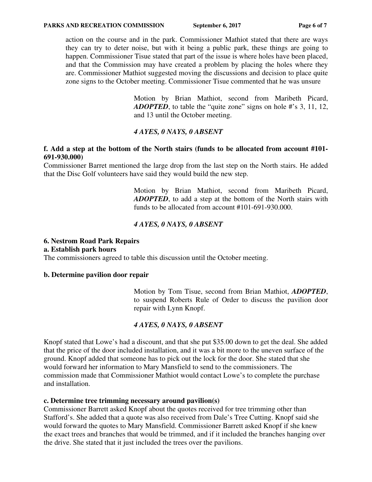action on the course and in the park. Commissioner Mathiot stated that there are ways they can try to deter noise, but with it being a public park, these things are going to happen. Commissioner Tisue stated that part of the issue is where holes have been placed, and that the Commission may have created a problem by placing the holes where they are. Commissioner Mathiot suggested moving the discussions and decision to place quite zone signs to the October meeting. Commissioner Tisue commented that he was unsure

> Motion by Brian Mathiot, second from Maribeth Picard, *ADOPTED*, to table the "quite zone" signs on hole #'s 3, 11, 12, and 13 until the October meeting.

## *4 AYES, 0 NAYS, 0 ABSENT*

#### **f. Add a step at the bottom of the North stairs (funds to be allocated from account #101- 691-930.000)**

Commissioner Barret mentioned the large drop from the last step on the North stairs. He added that the Disc Golf volunteers have said they would build the new step.

> Motion by Brian Mathiot, second from Maribeth Picard, *ADOPTED*, to add a step at the bottom of the North stairs with funds to be allocated from account #101-691-930.000.

### *4 AYES, 0 NAYS, 0 ABSENT*

#### **6. Nestrom Road Park Repairs**

#### **a. Establish park hours**

The commissioners agreed to table this discussion until the October meeting.

#### **b. Determine pavilion door repair**

Motion by Tom Tisue, second from Brian Mathiot, *ADOPTED*, to suspend Roberts Rule of Order to discuss the pavilion door repair with Lynn Knopf.

#### *4 AYES, 0 NAYS, 0 ABSENT*

Knopf stated that Lowe's had a discount, and that she put \$35.00 down to get the deal. She added that the price of the door included installation, and it was a bit more to the uneven surface of the ground. Knopf added that someone has to pick out the lock for the door. She stated that she would forward her information to Mary Mansfield to send to the commissioners. The commission made that Commissioner Mathiot would contact Lowe's to complete the purchase and installation.

#### **c. Determine tree trimming necessary around pavilion(s)**

Commissioner Barrett asked Knopf about the quotes received for tree trimming other than Stafford's. She added that a quote was also received from Dale's Tree Cutting. Knopf said she would forward the quotes to Mary Mansfield. Commissioner Barrett asked Knopf if she knew the exact trees and branches that would be trimmed, and if it included the branches hanging over the drive. She stated that it just included the trees over the pavilions.